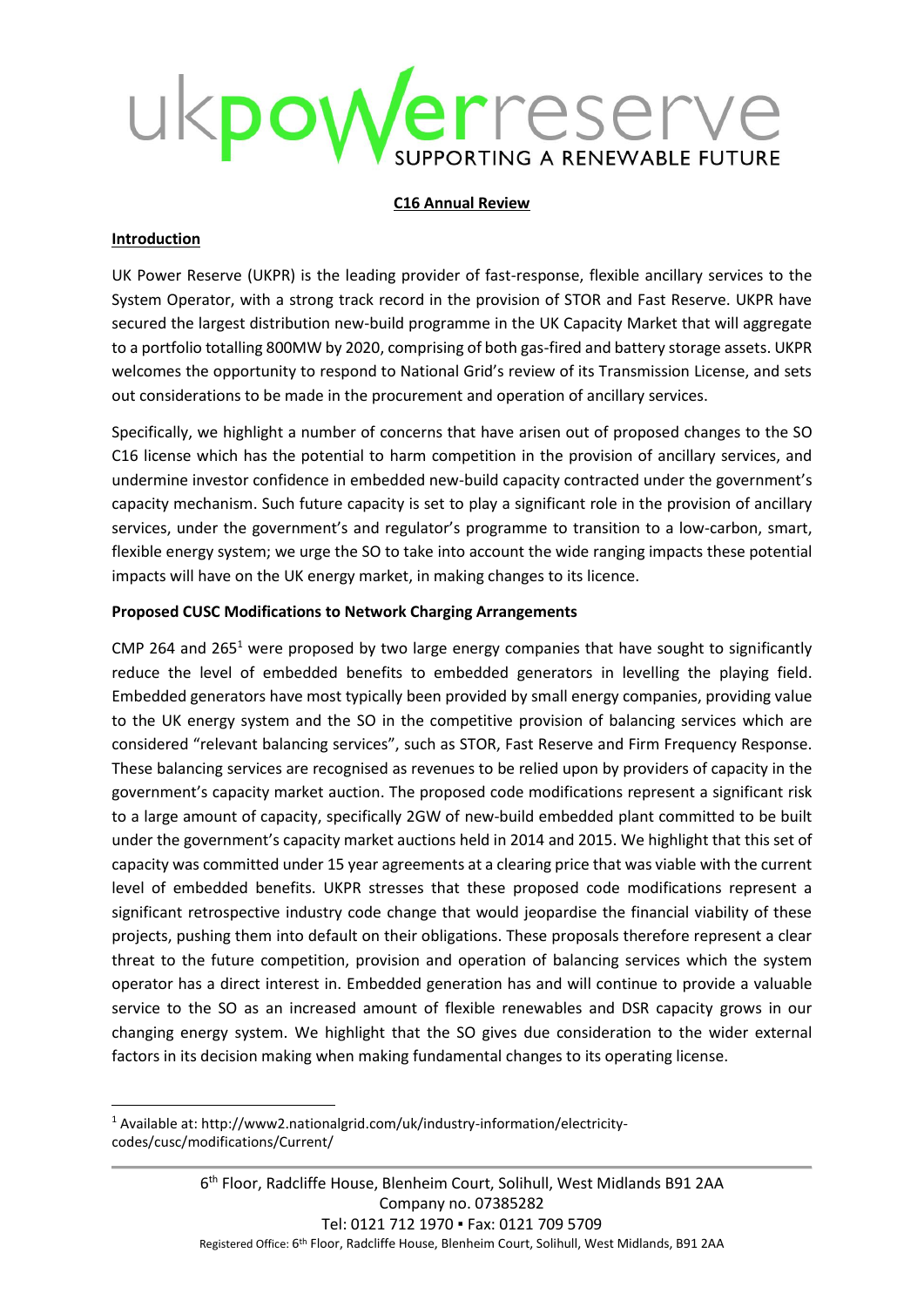# kpowerreserve ORTING A RENEWABLE FUTURE

### **C16 Annual Review**

### **Introduction**

1

UK Power Reserve (UKPR) is the leading provider of fast-response, flexible ancillary services to the System Operator, with a strong track record in the provision of STOR and Fast Reserve. UKPR have secured the largest distribution new-build programme in the UK Capacity Market that will aggregate to a portfolio totalling 800MW by 2020, comprising of both gas-fired and battery storage assets. UKPR welcomes the opportunity to respond to National Grid's review of its Transmission License, and sets out considerations to be made in the procurement and operation of ancillary services.

Specifically, we highlight a number of concerns that have arisen out of proposed changes to the SO C16 license which has the potential to harm competition in the provision of ancillary services, and undermine investor confidence in embedded new-build capacity contracted under the government's capacity mechanism. Such future capacity is set to play a significant role in the provision of ancillary services, under the government's and regulator's programme to transition to a low-carbon, smart, flexible energy system; we urge the SO to take into account the wide ranging impacts these potential impacts will have on the UK energy market, in making changes to its licence.

## **Proposed CUSC Modifications to Network Charging Arrangements**

CMP 264 and 265<sup>1</sup> were proposed by two large energy companies that have sought to significantly reduce the level of embedded benefits to embedded generators in levelling the playing field. Embedded generators have most typically been provided by small energy companies, providing value to the UK energy system and the SO in the competitive provision of balancing services which are considered "relevant balancing services", such as STOR, Fast Reserve and Firm Frequency Response. These balancing services are recognised as revenues to be relied upon by providers of capacity in the government's capacity market auction. The proposed code modifications represent a significant risk to a large amount of capacity, specifically 2GW of new-build embedded plant committed to be built under the government's capacity market auctions held in 2014 and 2015. We highlight that this set of capacity was committed under 15 year agreements at a clearing price that was viable with the current level of embedded benefits. UKPR stresses that these proposed code modifications represent a significant retrospective industry code change that would jeopardise the financial viability of these projects, pushing them into default on their obligations. These proposals therefore represent a clear threat to the future competition, provision and operation of balancing services which the system operator has a direct interest in. Embedded generation has and will continue to provide a valuable service to the SO as an increased amount of flexible renewables and DSR capacity grows in our changing energy system. We highlight that the SO gives due consideration to the wider external factors in its decision making when making fundamental changes to its operating license.

<sup>1</sup> Available at: http://www2.nationalgrid.com/uk/industry-information/electricitycodes/cusc/modifications/Current/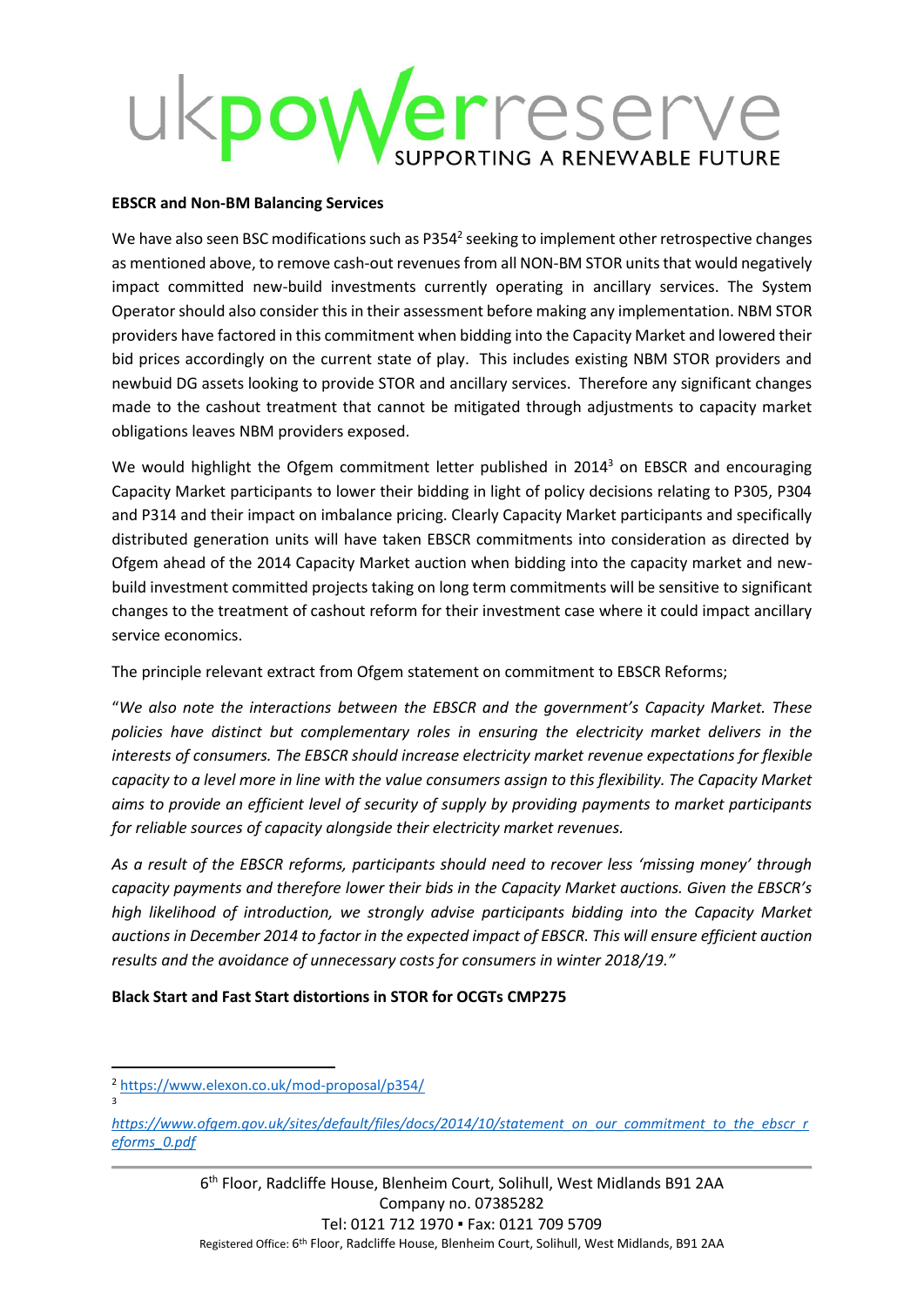# powerreserve TING A RENEWABLE FUTURE

#### **EBSCR and Non-BM Balancing Services**

We have also seen BSC modifications such as P354<sup>2</sup> seeking to implement other retrospective changes as mentioned above, to remove cash-out revenues from all NON-BM STOR units that would negatively impact committed new-build investments currently operating in ancillary services. The System Operator should also consider this in their assessment before making any implementation. NBM STOR providers have factored in this commitment when bidding into the Capacity Market and lowered their bid prices accordingly on the current state of play. This includes existing NBM STOR providers and newbuid DG assets looking to provide STOR and ancillary services. Therefore any significant changes made to the cashout treatment that cannot be mitigated through adjustments to capacity market obligations leaves NBM providers exposed.

We would highlight the Ofgem commitment letter published in 2014<sup>3</sup> on EBSCR and encouraging Capacity Market participants to lower their bidding in light of policy decisions relating to P305, P304 and P314 and their impact on imbalance pricing. Clearly Capacity Market participants and specifically distributed generation units will have taken EBSCR commitments into consideration as directed by Ofgem ahead of the 2014 Capacity Market auction when bidding into the capacity market and newbuild investment committed projects taking on long term commitments will be sensitive to significant changes to the treatment of cashout reform for their investment case where it could impact ancillary service economics.

The principle relevant extract from Ofgem statement on commitment to EBSCR Reforms;

"*We also note the interactions between the EBSCR and the government's Capacity Market. These policies have distinct but complementary roles in ensuring the electricity market delivers in the interests of consumers. The EBSCR should increase electricity market revenue expectations for flexible capacity to a level more in line with the value consumers assign to this flexibility. The Capacity Market aims to provide an efficient level of security of supply by providing payments to market participants for reliable sources of capacity alongside their electricity market revenues.* 

*As a result of the EBSCR reforms, participants should need to recover less 'missing money' through capacity payments and therefore lower their bids in the Capacity Market auctions. Given the EBSCR's high likelihood of introduction, we strongly advise participants bidding into the Capacity Market auctions in December 2014 to factor in the expected impact of EBSCR. This will ensure efficient auction results and the avoidance of unnecessary costs for consumers in winter 2018/19."*

## **Black Start and Fast Start distortions in STOR for OCGTs CMP275**

1

<sup>2</sup> <https://www.elexon.co.uk/mod-proposal/p354/> 3

*[https://www.ofgem.gov.uk/sites/default/files/docs/2014/10/statement\\_on\\_our\\_commitment\\_to\\_the\\_ebscr\\_r](https://www.ofgem.gov.uk/sites/default/files/docs/2014/10/statement_on_our_commitment_to_the_ebscr_reforms_0.pdf) [eforms\\_0.pdf](https://www.ofgem.gov.uk/sites/default/files/docs/2014/10/statement_on_our_commitment_to_the_ebscr_reforms_0.pdf)*